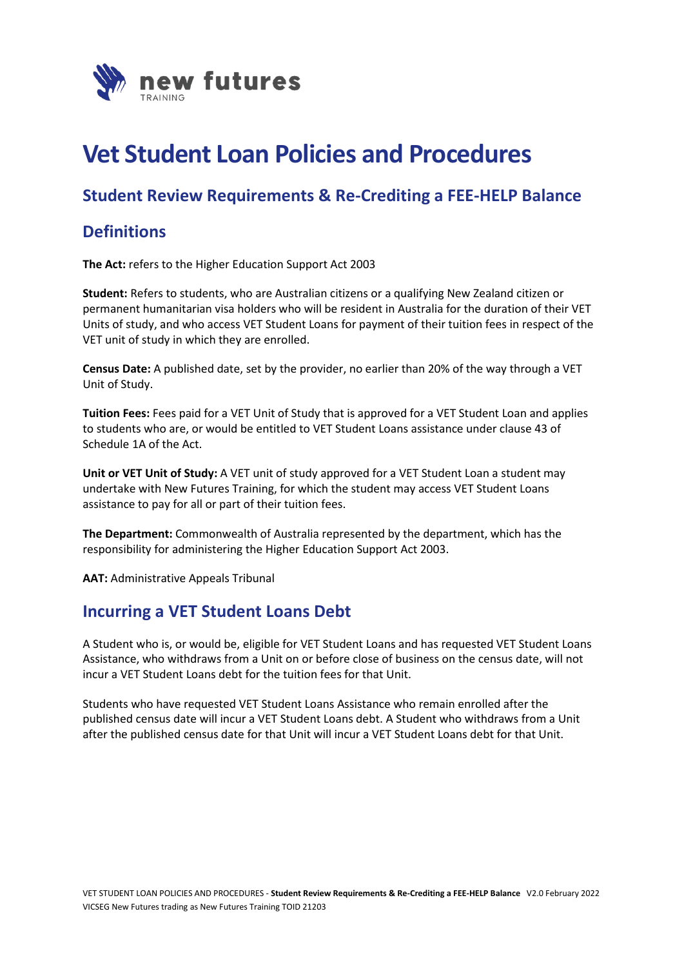

# **Vet Student Loan Policies and Procedures**

### **Student Review Requirements & Re-Crediting a FEE-HELP Balance**

## **Definitions**

**The Act:** refers to the Higher Education Support Act 2003

**Student:** Refers to students, who are Australian citizens or a qualifying New Zealand citizen or permanent humanitarian visa holders who will be resident in Australia for the duration of their VET Units of study, and who access VET Student Loans for payment of their tuition fees in respect of the VET unit of study in which they are enrolled.

**Census Date:** A published date, set by the provider, no earlier than 20% of the way through a VET Unit of Study.

**Tuition Fees:** Fees paid for a VET Unit of Study that is approved for a VET Student Loan and applies to students who are, or would be entitled to VET Student Loans assistance under clause 43 of Schedule 1A of the Act.

**Unit or VET Unit of Study:** A VET unit of study approved for a VET Student Loan a student may undertake with New Futures Training, for which the student may access VET Student Loans assistance to pay for all or part of their tuition fees.

**The Department:** Commonwealth of Australia represented by the department, which has the responsibility for administering the Higher Education Support Act 2003.

**AAT:** Administrative Appeals Tribunal

#### **Incurring a VET Student Loans Debt**

A Student who is, or would be, eligible for VET Student Loans and has requested VET Student Loans Assistance, who withdraws from a Unit on or before close of business on the census date, will not incur a VET Student Loans debt for the tuition fees for that Unit.

Students who have requested VET Student Loans Assistance who remain enrolled after the published census date will incur a VET Student Loans debt. A Student who withdraws from a Unit after the published census date for that Unit will incur a VET Student Loans debt for that Unit.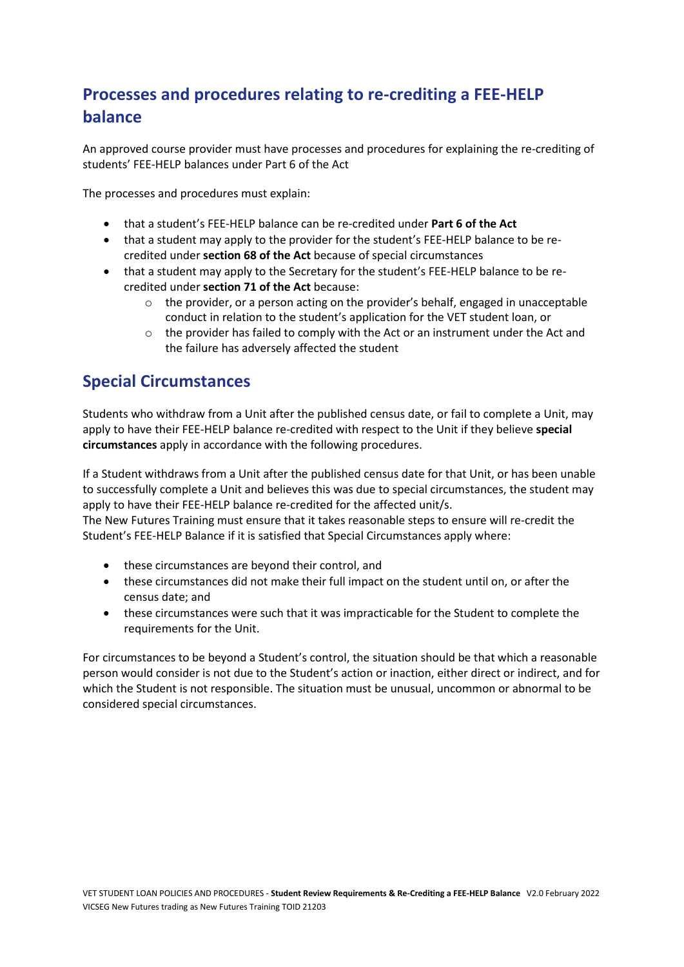# **Processes and procedures relating to re-crediting a FEE-HELP balance**

An approved course provider must have processes and procedures for explaining the re-crediting of students' FEE-HELP balances under Part 6 of the Act

The processes and procedures must explain:

- that a student's FEE-HELP balance can be re-credited under **Part 6 of the Act**
- that a student may apply to the provider for the student's FEE-HELP balance to be recredited under **section 68 of the Act** because of special circumstances
- that a student may apply to the Secretary for the student's FEE-HELP balance to be recredited under **section 71 of the Act** because:
	- $\circ$  the provider, or a person acting on the provider's behalf, engaged in unacceptable conduct in relation to the student's application for the VET student loan, or
	- $\circ$  the provider has failed to comply with the Act or an instrument under the Act and the failure has adversely affected the student

# **Special Circumstances**

Students who withdraw from a Unit after the published census date, or fail to complete a Unit, may apply to have their FEE-HELP balance re-credited with respect to the Unit if they believe **special circumstances** apply in accordance with the following procedures.

If a Student withdraws from a Unit after the published census date for that Unit, or has been unable to successfully complete a Unit and believes this was due to special circumstances, the student may apply to have their FEE-HELP balance re-credited for the affected unit/s.

The New Futures Training must ensure that it takes reasonable steps to ensure will re-credit the Student's FEE-HELP Balance if it is satisfied that Special Circumstances apply where:

- these circumstances are beyond their control, and
- these circumstances did not make their full impact on the student until on, or after the census date; and
- these circumstances were such that it was impracticable for the Student to complete the requirements for the Unit.

For circumstances to be beyond a Student's control, the situation should be that which a reasonable person would consider is not due to the Student's action or inaction, either direct or indirect, and for which the Student is not responsible. The situation must be unusual, uncommon or abnormal to be considered special circumstances.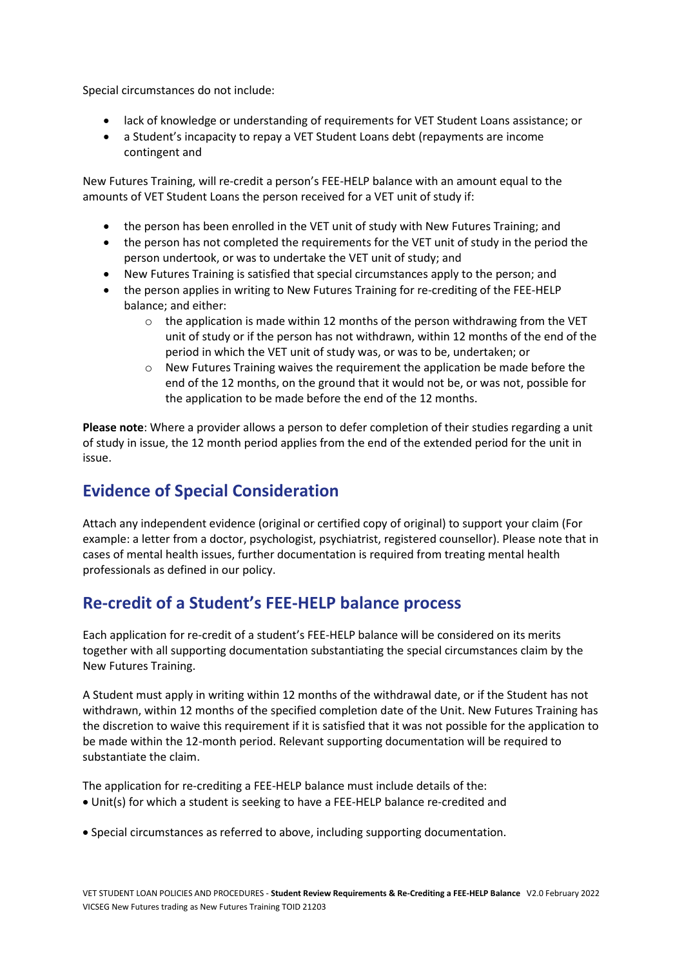Special circumstances do not include:

- lack of knowledge or understanding of requirements for VET Student Loans assistance; or
- a Student's incapacity to repay a VET Student Loans debt (repayments are income contingent and

New Futures Training, will re-credit a person's FEE-HELP balance with an amount equal to the amounts of VET Student Loans the person received for a VET unit of study if:

- the person has been enrolled in the VET unit of study with New Futures Training; and
- the person has not completed the requirements for the VET unit of study in the period the person undertook, or was to undertake the VET unit of study; and
- New Futures Training is satisfied that special circumstances apply to the person; and
- the person applies in writing to New Futures Training for re-crediting of the FEE-HELP balance; and either:
	- $\circ$  the application is made within 12 months of the person withdrawing from the VET unit of study or if the person has not withdrawn, within 12 months of the end of the period in which the VET unit of study was, or was to be, undertaken; or
	- o New Futures Training waives the requirement the application be made before the end of the 12 months, on the ground that it would not be, or was not, possible for the application to be made before the end of the 12 months.

**Please note**: Where a provider allows a person to defer completion of their studies regarding a unit of study in issue, the 12 month period applies from the end of the extended period for the unit in issue.

# **Evidence of Special Consideration**

Attach any independent evidence (original or certified copy of original) to support your claim (For example: a letter from a doctor, psychologist, psychiatrist, registered counsellor). Please note that in cases of mental health issues, further documentation is required from treating mental health professionals as defined in our policy.

### **Re-credit of a Student's FEE-HELP balance process**

Each application for re-credit of a student's FEE-HELP balance will be considered on its merits together with all supporting documentation substantiating the special circumstances claim by the New Futures Training.

A Student must apply in writing within 12 months of the withdrawal date, or if the Student has not withdrawn, within 12 months of the specified completion date of the Unit. New Futures Training has the discretion to waive this requirement if it is satisfied that it was not possible for the application to be made within the 12-month period. Relevant supporting documentation will be required to substantiate the claim.

The application for re-crediting a FEE-HELP balance must include details of the: • Unit(s) for which a student is seeking to have a FEE-HELP balance re-credited and

• Special circumstances as referred to above, including supporting documentation.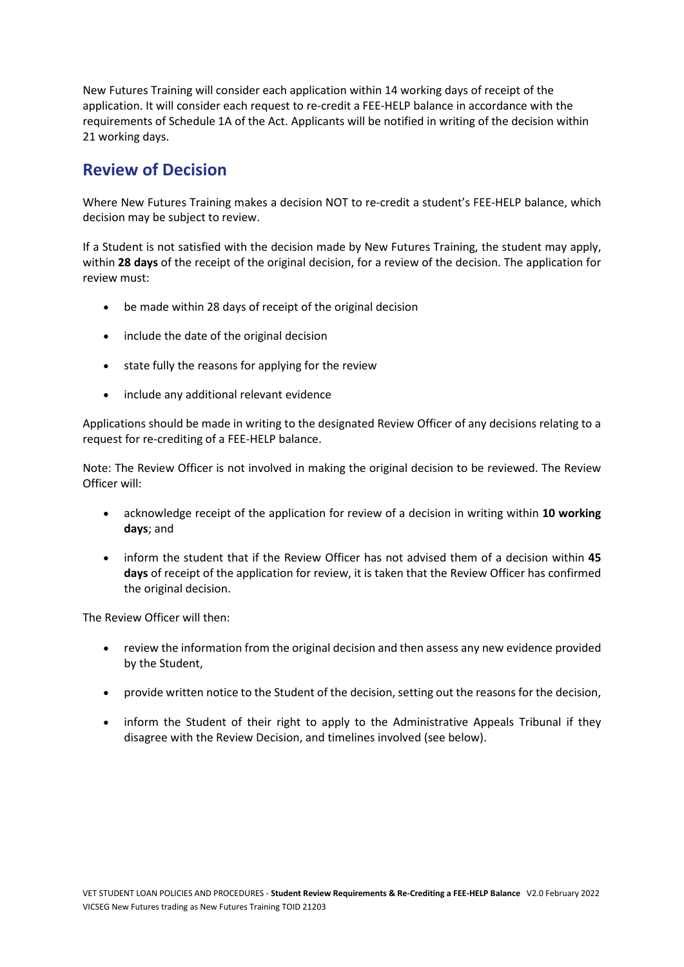New Futures Training will consider each application within 14 working days of receipt of the application. It will consider each request to re-credit a FEE-HELP balance in accordance with the requirements of Schedule 1A of the Act. Applicants will be notified in writing of the decision within 21 working days.

# **Review of Decision**

Where New Futures Training makes a decision NOT to re-credit a student's FEE-HELP balance, which decision may be subject to review.

If a Student is not satisfied with the decision made by New Futures Training, the student may apply, within **28 days** of the receipt of the original decision, for a review of the decision. The application for review must:

- be made within 28 days of receipt of the original decision
- include the date of the original decision
- state fully the reasons for applying for the review
- include any additional relevant evidence

Applications should be made in writing to the designated Review Officer of any decisions relating to a request for re-crediting of a FEE-HELP balance.

Note: The Review Officer is not involved in making the original decision to be reviewed. The Review Officer will:

- acknowledge receipt of the application for review of a decision in writing within **10 working days**; and
- inform the student that if the Review Officer has not advised them of a decision within **45 days** of receipt of the application for review, it is taken that the Review Officer has confirmed the original decision.

The Review Officer will then:

- review the information from the original decision and then assess any new evidence provided by the Student,
- provide written notice to the Student of the decision, setting out the reasons for the decision,
- inform the Student of their right to apply to the Administrative Appeals Tribunal if they disagree with the Review Decision, and timelines involved (see below).